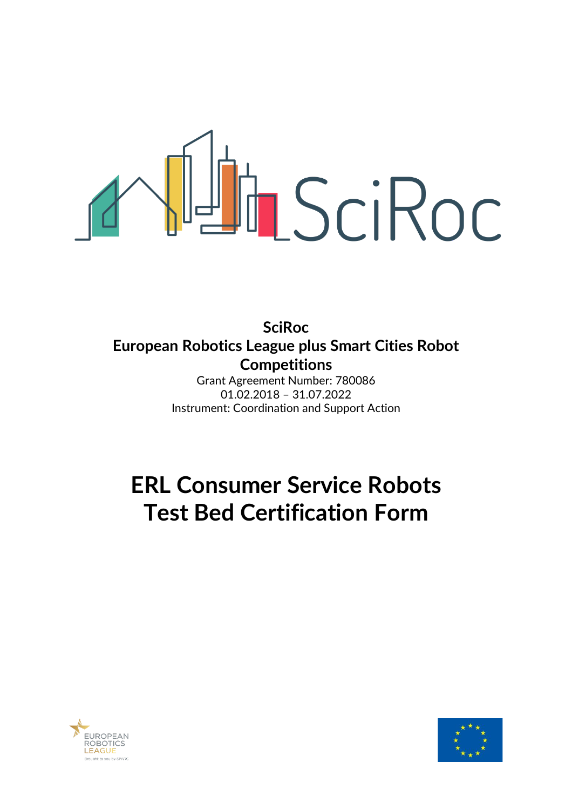# TISCIROC

**SciRoc European Robotics League plus Smart Cities Robot Competitions**

Grant Agreement Number: 780086 01.02.2018 – 31.07.2022 Instrument: Coordination and Support Action

# **ERL Consumer Service Robots Test Bed Certification Form**



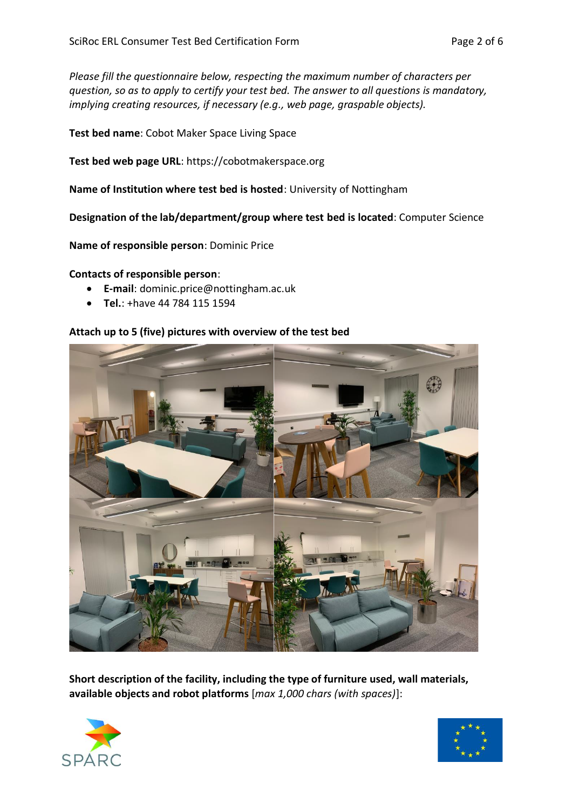*Please fill the questionnaire below, respecting the maximum number of characters per question, so as to apply to certify your test bed. The answer to all questions is mandatory, implying creating resources, if necessary (e.g., web page, graspable objects).*

**Test bed name**: Cobot Maker Space Living Space

**Test bed web page URL**: https://cobotmakerspace.org

**Name of Institution where test bed is hosted**: University of Nottingham

**Designation of the lab/department/group where test bed is located**: Computer Science

**Name of responsible person**: Dominic Price

### **Contacts of responsible person**:

- **E-mail**: dominic.price@nottingham.ac.uk
- **Tel.**: +have 44 784 115 1594

### **Attach up to 5 (five) pictures with overview of the test bed**



**Short description of the facility, including the type of furniture used, wall materials, available objects and robot platforms** [*max 1,000 chars (with spaces)*]:



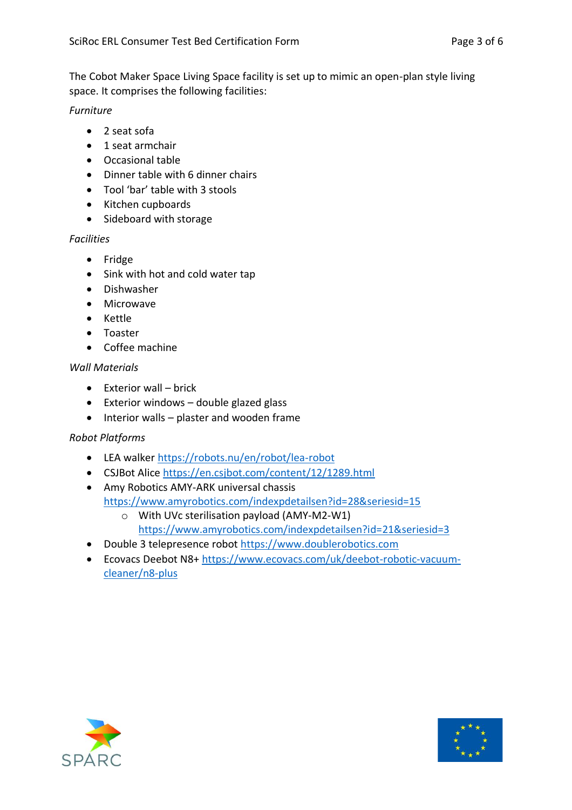The Cobot Maker Space Living Space facility is set up to mimic an open-plan style living space. It comprises the following facilities:

*Furniture*

- 2 seat sofa
- 1 seat armchair
- Occasional table
- Dinner table with 6 dinner chairs
- Tool 'bar' table with 3 stools
- Kitchen cupboards
- Sideboard with storage

### *Facilities*

- Fridge
- Sink with hot and cold water tap
- Dishwasher
- Microwave
- Kettle
- Toaster
- Coffee machine

## *Wall Materials*

- Exterior wall brick
- Exterior windows double glazed glass
- Interior walls plaster and wooden frame

### *Robot Platforms*

- LEA walker <https://robots.nu/en/robot/lea-robot>
- CSJBot Alice<https://en.csjbot.com/content/12/1289.html>
- Amy Robotics AMY-ARK universal chassis <https://www.amyrobotics.com/indexpdetailsen?id=28&seriesid=15>
	- o With UVc sterilisation payload (AMY-M2-W1) <https://www.amyrobotics.com/indexpdetailsen?id=21&seriesid=3>
- Double 3 telepresence robot [https://www.doublerobotics.com](https://www.doublerobotics.com/)
- Ecovacs Deebot N8+ [https://www.ecovacs.com/uk/deebot-robotic-vacuum](https://www.ecovacs.com/uk/deebot-robotic-vacuum-cleaner/n8-plus)[cleaner/n8-plus](https://www.ecovacs.com/uk/deebot-robotic-vacuum-cleaner/n8-plus)



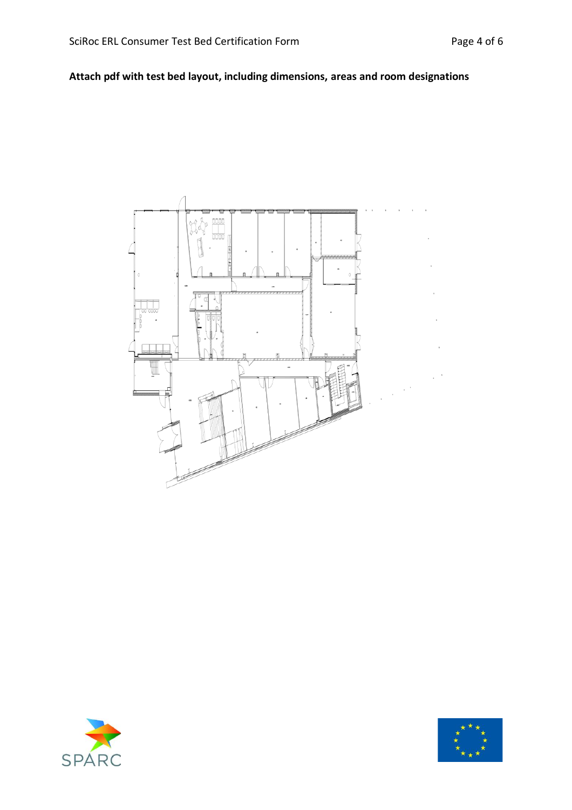# **Attach pdf with test bed layout, including dimensions, areas and room designations**





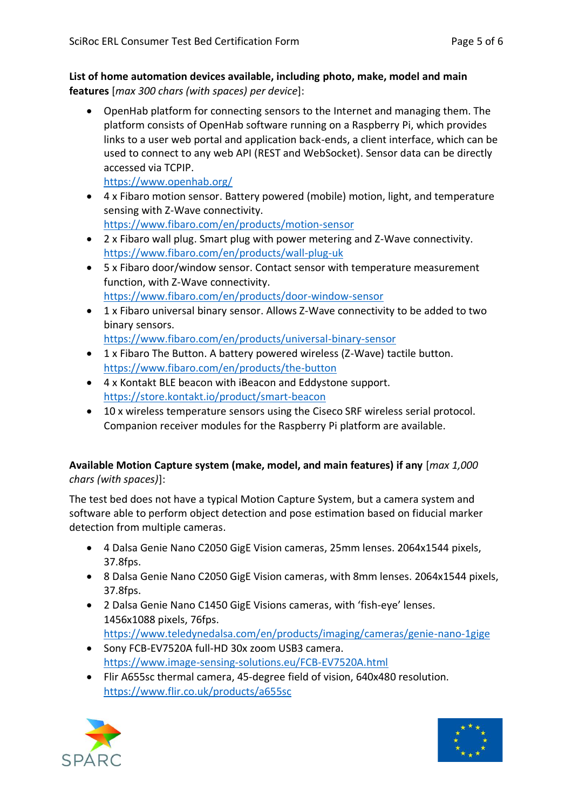**List of home automation devices available, including photo, make, model and main features** [*max 300 chars (with spaces) per device*]:

• OpenHab platform for connecting sensors to the Internet and managing them. The platform consists of OpenHab software running on a Raspberry Pi, which provides links to a user web portal and application back-ends, a client interface, which can be used to connect to any web API (REST and WebSocket). Sensor data can be directly accessed via TCPIP.

<https://www.openhab.org/>

- 4 x Fibaro motion sensor. Battery powered (mobile) motion, light, and temperature sensing with Z-Wave connectivity. <https://www.fibaro.com/en/products/motion-sensor>
- 2 x Fibaro wall plug. Smart plug with power metering and Z-Wave connectivity. <https://www.fibaro.com/en/products/wall-plug-uk>
- 5 x Fibaro door/window sensor. Contact sensor with temperature measurement function, with Z-Wave connectivity. <https://www.fibaro.com/en/products/door-window-sensor>
- 1 x Fibaro universal binary sensor. Allows Z-Wave connectivity to be added to two binary sensors. <https://www.fibaro.com/en/products/universal-binary-sensor>
- 1 x Fibaro The Button. A battery powered wireless (Z-Wave) tactile button. <https://www.fibaro.com/en/products/the-button>
- 4 x Kontakt BLE beacon with iBeacon and Eddystone support. <https://store.kontakt.io/product/smart-beacon>
- 10 x wireless temperature sensors using the Ciseco SRF wireless serial protocol. Companion receiver modules for the Raspberry Pi platform are available.

### **Available Motion Capture system (make, model, and main features) if any** [*max 1,000 chars (with spaces)*]:

The test bed does not have a typical Motion Capture System, but a camera system and software able to perform object detection and pose estimation based on fiducial marker detection from multiple cameras.

- 4 Dalsa Genie Nano C2050 GigE Vision cameras, 25mm lenses. 2064x1544 pixels, 37.8fps.
- 8 Dalsa Genie Nano C2050 GigE Vision cameras, with 8mm lenses. 2064x1544 pixels, 37.8fps.
- 2 Dalsa Genie Nano C1450 GigE Visions cameras, with 'fish-eye' lenses. 1456x1088 pixels, 76fps. [https://www.teledynedalsa.com/en/products/imaging/cameras/genie-nano-1gige](https://www.teledynedalsa.com/en/products/imaging/cameras/genie-nano-1gige/)
- Sony FCB-EV7520A full-HD 30x zoom USB3 camera. <https://www.image-sensing-solutions.eu/FCB-EV7520A.html>
- Flir A655sc thermal camera, 45-degree field of vision, 640x480 resolution. [https://www.flir.co.uk/products/a655sc](https://www.flir.co.uk/products/a655sc/)